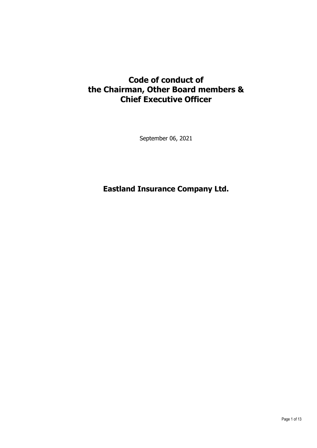# **Code of conduct of the Chairman, Other Board members & Chief Executive Officer**

September 06, 2021

# **Eastland Insurance Company Ltd.**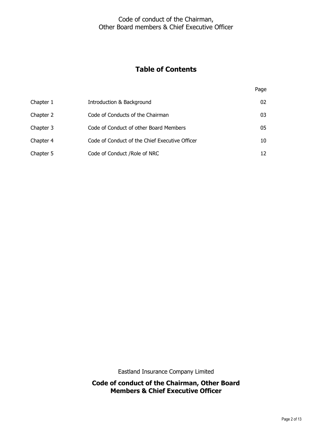# Code of conduct of the Chairman, Other Board members & Chief Executive Officer

# **Table of Contents**

Page

| Chapter 1 | Introduction & Background                      | 02 |
|-----------|------------------------------------------------|----|
| Chapter 2 | Code of Conducts of the Chairman               | 03 |
| Chapter 3 | Code of Conduct of other Board Members         | 05 |
| Chapter 4 | Code of Conduct of the Chief Executive Officer | 10 |
| Chapter 5 | Code of Conduct / Role of NRC                  | 12 |

Eastland Insurance Company Limited

**Code of conduct of the Chairman, Other Board Members & Chief Executive Officer**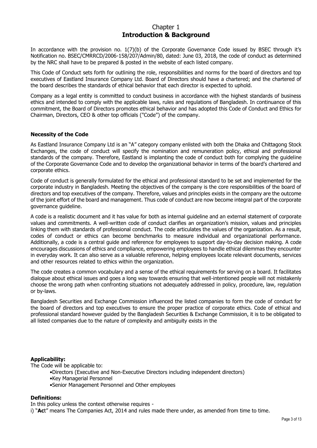# Chapter 1 **Introduction & Background**

In accordance with the provision no. 1(7)(b) of the Corporate Governance Code issued by BSEC through it's Notification no. BSEC/CMRRCD/2006-158/207/Admin/80, dated: June 03, 2018, the code of conduct as determined by the NRC shall have to be prepared & posted in the website of each listed company.

This Code of Conduct sets forth for outlining the role, responsibilities and norms for the board of directors and top executives of Eastland Insurance Company Ltd. Board of Directors should have a chartered; and the chartered of the board describes the standards of ethical behavior that each director is expected to uphold.

Company as a legal entity is committed to conduct business in accordance with the highest standards of business ethics and intended to comply with the applicable laws, rules and regulations of Bangladesh. In continuance of this commitment, the Board of Directors promotes ethical behavior and has adopted this Code of Conduct and Ethics for Chairman, Directors, CEO & other top officials ("Code") of the company.

## **Necessity of the Code**

As Eastland Insurance Company Ltd is an "A" category company enlisted with both the Dhaka and Chittagong Stock Exchanges, the code of conduct will specify the nomination and remuneration policy, ethical and professional standards of the company. Therefore, Eastland is implanting the code of conduct both for complying the guideline of the Corporate Governance Code and to develop the organizational behavior in terms of the board's chartered and corporate ethics.

Code of conduct is generally formulated for the ethical and professional standard to be set and implemented for the corporate industry in Bangladesh. Meeting the objectives of the company is the core responsibilities of the board of directors and top executives of the company. Therefore, values and principles exists in the company are the outcome of the joint effort of the board and management. Thus code of conduct are now become integral part of the corporate governance guideline.

A code is a realistic document and it has value for both as internal guideline and an external statement of corporate values and commitments. A well-written code of conduct clarifies an organization's mission, values and principles linking them with standards of professional conduct. The code articulates the values of the organization. As a result, codes of conduct or ethics can become benchmarks to measure individual and organizational performance. Additionally, a code is a central guide and reference for employees to support day-to-day decision making. A code encourages discussions of ethics and compliance, empowering employees to handle ethical dilemmas they encounter in everyday work. It can also serve as a valuable reference, helping employees locate relevant documents, services and other resources related to ethics within the organization.

The code creates a common vocabulary and a sense of the ethical requirements for serving on a board. It facilitates dialogue about ethical issues and goes a long way towards ensuring that well-intentioned people will not mistakenly choose the wrong path when confronting situations not adequately addressed in policy, procedure, law, regulation or by-laws.

Bangladesh Securities and Exchange Commission influenced the listed companies to form the code of conduct for the board of directors and top executives to ensure the proper practice of corporate ethics. Code of ethical and professional standard however guided by the Bangladesh Securities & Exchange Commission, it is to be obligated to all listed companies due to the nature of complexity and ambiguity exists in the

## **Applicability:**

The Code will be applicable to:

- •Directors (Executive and Non-Executive Directors including independent directors)
- •Key Managerial Personnel
- •Senior Management Personnel and Other employees

#### **Definitions:**

In this policy unless the context otherwise requires -

i) "**Ac**t" means The Companies Act, 2014 and rules made there under, as amended from time to time.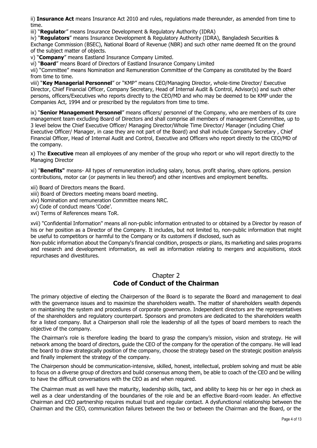ii) **Insurance Act** means Insurance Act 2010 and rules, regulations made thereunder, as amended from time to time.

iii) "**Regulato**r" means Insurance Development & Regulatory Authority (IDRA)

iv) "**Regulators**" means Insurance Development & Regulatory Authority (IDRA), Bangladesh Securities & Exchange Commission (BSEC), National Board of Revenue (NBR) and such other name deemed fit on the ground of the subject matter of objects.

v) "**Company**" means Eastland Insurance Company Limited.

vi) "**Board**" means Board of Directors of Eastland Insurance Company Limited

vii) "Committee" means Nomination and Remuneration Committee of the Company as constituted by the Board from time to time.

viii) "**Key Managerial Personnel**" or "KMP" means CEO/Managing Director, whole-time Director/ Executive Director, Chief Financial Officer, Company Secretary, Head of Internal Audit & Control, Advisor(s) and such other persons, officers/Executives who reports directly to the CEO/MD and who may be deemed to be KMP under the Companies Act, 1994 and or prescribed by the regulators from time to time.

ix) "**Senior Management Personnel**" means officers/ personnel of the Company, who are members of its core management team excluding Board of Directors and shall comprise all members of management Committee, up to 3 level below the Chief Executive Officer/ Managing Director/Whole Time Director/ Manager (including Chief Executive Officer/ Manager, in case they are not part of the Board) and shall include Company Secretary , Chief Financial Officer, Head of Internal Audit and Control, Executive and Officers who report directly to the CEO/MD of the company.

x) The **Executive** mean all employees of any member of the group who report or who will report directly to the Managing Director

xi) "**Benefits"** means- All types of remuneration including salary, bonus. profit sharing, share options. pension contributions, motor car (or payments in lieu thereof) and other incentives and employment benefits.

xii) Board of Directors means the Board.

- xiii) Board of Directors meeting means board meeting.
- xiv) Nomination and remuneration Committee means NRC.

xv) Code of conduct means 'Code'.

xvi) Terms of References means ToR.

xvii) "Confidential Information" means all non-public information entrusted to or obtained by a Director by reason of his or her position as a Director of the Company. It includes, but not limited to, non-public information that might be useful to competitors or harmful to the Company or its customers if disclosed, such as

Non-public information about the Company's financial condition, prospects or plans, its marketing and sales programs and research and development information, as well as information relating to mergers and acquisitions, stock repurchases and divestitures.

# Chapter 2 **Code of Conduct of the Chairman**

The primary objective of electing the Chairperson of the Board is to separate the Board and management to deal with the governance issues and to maximize the shareholders wealth. The matter of shareholders wealth depends on maintaining the system and procedures of corporate governance. Independent directors are the representatives of the shareholders and regulatory counterpart. Sponsors and promoters are dedicated to the shareholders wealth for a listed company. But a Chairperson shall role the leadership of all the types of board members to reach the objective of the company.

The Chairman's role is therefore leading the board to grasp the company's mission, vision and strategy. He will network among the board of directors, guide the CEO of the company for the operation of the company. He will lead the board to draw strategically position of the company, choose the strategy based on the strategic position analysis and finally implement the strategy of the company.

The Chairperson should be communication-intensive, skilled, honest, intellectual, problem solving and must be able to focus on a diverse group of directors and build consensus among them, be able to coach of the CEO and be willing to have the difficult conversations with the CEO as and when required.

The Chairman must as well have the maturity, leadership skills, tact, and ability to keep his or her ego in check as well as a clear understanding of the boundaries of the role and be an effective Board-room leader. An effective Chairman and CEO partnership requires mutual trust and regular contact. A dysfunctional relationship between the Chairman and the CEO, communication failures between the two or between the Chairman and the Board, or the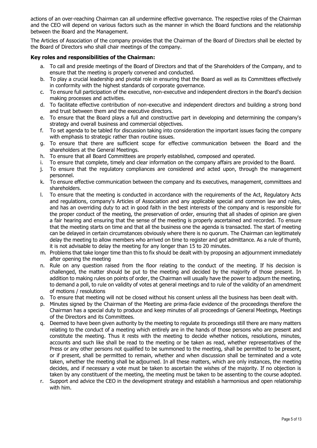actions of an over-reaching Chairman can all undermine effective governance. The respective roles of the Chairman and the CEO will depend on various factors such as the manner in which the Board functions and the relationship between the Board and the Management.

The Articles of Association of the company provides that the Chairman of the Board of Directors shall be elected by the Board of Directors who shall chair meetings of the company.

# **Key roles and responsibilities of the Chairman:**

- a. To call and preside meetings of the Board of Directors and that of the Shareholders of the Company, and to ensure that the meeting is properly convened and conducted.
- b. To play a crucial leadership and pivotal role in ensuring that the Board as well as its Committees effectively in conformity with the highest standards of corporate governance.
- c. To ensure full participation of the executive, non-executive and independent directors in the Board's decision making processes and activities.
- d. To facilitate effective contribution of non-executive and independent directors and building a strong bond and trust between them and the executive directors.
- e. To ensure that the Board plays a full and constructive part in developing and determining the company's strategy and overall business and commercial objectives.
- f. To set agenda to be tabled for discussion taking into consideration the important issues facing the company with emphasis to strategic rather than routine issues.
- g. To ensure that there are sufficient scope for effective communication between the Board and the shareholders at the General Meetings.
- h. To ensure that all Board Committees are properly established, composed and operated.
- i. To ensure that complete, timely and clear information on the company affairs are provided to the Board.
- j. To ensure that the regulatory compliances are considered and acted upon, through the management personnel.
- k. To ensure effective communication between the company and its executives, management, committees and shareholders.
- l. To ensure that the meeting is conducted in accordance with the requirements of the Act, Regulatory Acts and regulations, company's Articles of Association and any applicable special and common law and rules, and has an overriding duty to act in good faith in the best interests of the company and is responsible for the proper conduct of the meeting, the preservation of order, ensuring that all shades of opinion are given a fair hearing and ensuring that the sense of the meeting is properly ascertained and recorded. To ensure that the meeting starts on time and that all the business one the agenda is transacted. The start of meeting can be delayed in certain circumstances obviously where there is no quorum. The Chairman can legitimately delay the meeting to allow members who arrived on time to register and get admittance. As a rule of thumb, it is not advisable to delay the meeting for any longer than 15 to 20 minutes.
- m. Problems that take longer time than this to fix should be dealt with by proposing an adjournment immediately after opening the meeting
- n. Rule on any question raised from the floor relating to the conduct of the meeting. If his decision is challenged, the matter should be put to the meeting and decided by the majority of those present. In addition to making rules on points of order, the Chairman will usually have the power to adjourn the meeting, to demand a poll, to rule on validity of votes at general meetings and to rule of the validity of an amendment of motions / resolutions
- o. To ensure that meeting will not be closed without his consent unless all the business has been dealt with.
- p. Minutes signed by the Chairman of the Meeting are prima-facie evidence of the proceedings therefore the Chairman has a special duty to produce and keep minutes of all proceedings of General Meetings, Meetings of the Directors and its Committees.
- q. Deemed to have been given authority by the meeting to regulate its proceedings still there are many matters relating to the conduct of a meeting which entirely are in the hands of those persons who are present and constitute the meeting. Thus it rests with the meeting to decide whether notices, resolutions, minutes, accounts and such like shall be read to the meeting or be taken as read, whether representatives of the Press or any other persons not qualified to be summoned to the meeting, shall be permitted to be present, or if present, shall be permitted to remain, whether and when discussion shall be terminated and a vote taken, whether the meeting shall be adjourned. In all these matters, which are only instances, the meeting decides, and if necessary a vote must be taken to ascertain the wishes of the majority. If no objection is taken by any constituent of the meeting, the meeting must be taken to be assenting to the course adopted.
- r. Support and advice the CEO in the development strategy and establish a harmonious and open relationship with him.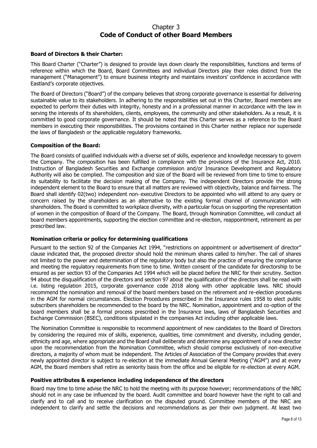# Chapter 3 **Code of Conduct of other Board Members**

### **Board of Directors & their Charter:**

This Board Charter ("Charter") is designed to provide lays down clearly the responsibilities, functions and terms of reference within which the Board, Board Committees and individual Directors play their roles distinct from the management ("Management") to ensure business integrity and maintains investors' confidence in accordance with Eastland's corporate objectives.

The Board of Directors ("Board") of the company believes that strong corporate governance is essential for delivering sustainable value to its stakeholders. In adhering to the responsibilities set out in this Charter, Board members are expected to perform their duties with integrity, honesty and in a professional manner in accordance with the law in serving the interests of its shareholders, clients, employees, the community and other stakeholders. As a result, it is committed to good corporate governance. It should be noted that this Charter serves as a reference to the Board members in executing their responsibilities. The provisions contained in this Charter neither replace nor supersede the laws of Bangladesh or the applicable regulatory frameworks.

### **Composition of the Board:**

The Board consists of qualified individuals with a diverse set of skills, experience and knowledge necessary to govern the Company. The composition has been fulfilled in compliance with the provisions of the Insurance Act, 2010. Instruction of Bangladesh Securities and Exchange commission and/or Insurance Development and Regulatory Authority will also be complied. The composition and size of the Board will be reviewed from time to time to ensure its suitability to facilitate the decision making of the Company. The independent Directors provide the strong independent element to the Board to ensure that all matters are reviewed with objectivity, balance and fairness. The Board shall identify 02(two) independent non‐ executive Directors to be appointed who will attend to any query or concern raised by the shareholders as an alternative to the existing formal channel of communication with shareholders. The Board is committed to workplace diversity, with a particular focus on supporting the representation of women in the composition of Board of the Company. The Board, through Nomination Committee, will conduct all board members appointments, supporting the election committee and re-election, reappointment, retirement as per prescribed law.

#### **Nomination criteria or policy for determining qualifications**

Pursuant to the section 92 of the Companies Act 1994, "restrictions on appointment or advertisement of director" clause indicated that, the proposed director should hold the minimum shares called to him/her. The call of shares not limited to the power and determination of the regulatory body but also the practice of ensuring the compliance and meeting the regulatory requirements from time to time. Written consent of the candidate for directorship to be ensured as per section 93 of the Companies Act 1994 which will be placed before the NRC for their scrutiny. Section 94 about the disqualification of the directors and section 97 about the qualification of the directors shall be read with i.e. listing regulation 2015, corporate governance code 2018 along with other applicable laws. NRC should recommend the nomination and removal of the board members based on the retirement and re-election procedures in the AGM for normal circumstances. Election Procedures prescribed in the Insurance rules 1958 to elect public subscribers shareholders be recommended to the board by the NRC. Nomination, appointment and co-option of the board members shall be a formal process prescribed in the Insurance laws, laws of Bangladesh Securities and Exchange Commission (BSEC), conditions stipulated in the companies Act including other applicable laws.

The Nomination Committee is responsible to recommend appointment of new candidates to the Board of Directors by considering the required mix of skills, experience, qualities, time commitment and diversity, including gender, ethnicity and age, where appropriate and the Board shall deliberate and determine any appointment of a new director upon the recommendation from the Nomination Committee, which should comprise exclusively of non‐executive directors, a majority of whom must be independent. The Articles of Association of the Company provides that every newly appointed director is subject to re‐election at the immediate Annual General Meeting ("AGM") and at every AGM, the Board members shall retire as seniority basis from the office and be eligible for re‐election at every AGM.

#### **Positive attributes & experience including independence of the directors**

Board may time to time advise the NRC to hold the meeting with its purpose however; recommendations of the NRC should not in any case be influenced by the board. Audit committee and board however have the right to call and clarify and to call and to receive clarification on the disputed ground. Committee members of the NRC are independent to clarify and settle the decisions and recommendations as per their own judgment. At least two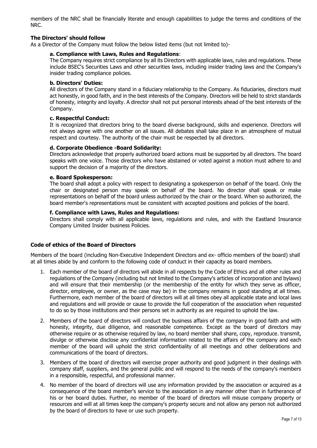members of the NRC shall be financially literate and enough capabilities to judge the terms and conditions of the NRC.

### **The Directors' should follow**

As a Director of the Company must follow the below listed items (but not limited to)-

#### **a. Compliance with Laws, Rules and Regulations**:

The Company requires strict compliance by all its Directors with applicable laws, rules and regulations. These include BSEC's Securities Laws and other securities laws, including insider trading laws and the Company's insider trading compliance policies.

#### **b. Directors' Duties:**

All directors of the Company stand in a fiduciary relationship to the Company. As fiduciaries, directors must act honestly, in good faith, and in the best interests of the Company. Directors will be held to strict standards of honesty, integrity and loyalty. A director shall not put personal interests ahead of the best interests of the Company.

#### **c. Respectful Conduct:**

It is recognized that directors bring to the board diverse background, skills and experience. Directors will not always agree with one another on all issues. All debates shall take place in an atmosphere of mutual respect and courtesy. The authority of the chair must be respected by all directors.

#### **d. Corporate Obedience -Board Solidarity:**

Directors acknowledge that properly authorized board actions must be supported by all directors. The board speaks with one voice. Those directors who have abstained or voted against a motion must adhere to and support the decision of a majority of the directors.

#### **e. Board Spokesperson:**

The board shall adopt a policy with respect to designating a spokesperson on behalf of the board. Only the chair or designated person may speak on behalf of the board. No director shall speak or make representations on behalf of the board unless authorized by the chair or the board. When so authorized, the board member's representations must be consistent with accepted positions and policies of the board.

### **f. Compliance with Laws, Rules and Regulations:**

Directors shall comply with all applicable laws, regulations and rules, and with the Eastland Insurance Company Limited Insider business Policies.

#### **Code of ethics of the Board of Directors**

Members of the board (including Non-Executive Independent Directors and ex- officio members of the board) shall at all times abide by and conform to the following code of conduct in their capacity as board members.

- 1. Each member of the board of directors will abide in all respects by the Code of Ethics and all other rules and regulations of the Company (including but not limited to the Company's articles of incorporation and bylaws) and will ensure that their membership (or the membership of the entity for which they serve as officer, director, employee, or owner, as the case may be) in the company remains in good standing at all times. Furthermore, each member of the board of directors will at all times obey all applicable state and local laws and regulations and will provide or cause to provide the full cooperation of the association when requested to do so by those institutions and their persons set in authority as are required to uphold the law.
- 2. Members of the board of directors will conduct the business affairs of the company in good faith and with honesty, integrity, due diligence, and reasonable competence. Except as the board of directors may otherwise require or as otherwise required by law, no board member shall share, copy, reproduce. transmit, divulge or otherwise disclose any confidential information related to the affairs of the company and each member of the board will uphold the strict confidentiality of all meetings and other deliberations and communications of the board of directors.
- 3. Members of the board of directors will exercise proper authority and good judgment in their dealings with company staff, suppliers, and the general public and will respond to the needs of the company's members in a responsible, respectful, and professional manner.
- 4. No member of the board of directors will use any information provided by the association or acquired as a consequence of the board member's service to the association in any manner other than in furtherance of his or her board duties. Further, no member of the board of directors will misuse company property or resources and will at all times keep the company's property secure and not allow any person not authorized by the board of directors to have or use such property.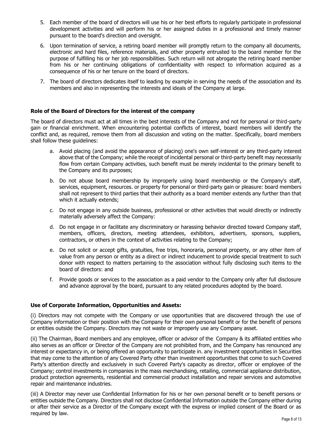- 5. Each member of the board of directors will use his or her best efforts to regularly participate in professional development activities and will perform his or her assigned duties in a professional and timely manner pursuant to the board's direction and oversight.
- 6. Upon termination of service, a retiring board member will promptly return to the company all documents, electronic and hard files, reference materials, and other property entrusted to the board member for the purpose of fulfilling his or her job responsibilities. Such return will not abrogate the retiring board member from his or her continuing obligations of confidentiality with respect to information acquired as a consequence of his or her tenure on the board of directors.
- 7. The board of directors dedicates itself to leading by example in serving the needs of the association and its members and also in representing the interests and ideals of the Company at large.

# **Role of the Board of Directors for the interest of the company**

The board of directors must act at all times in the best interests of the Company and not for personal or third-party gain or financial enrichment. When encountering potential conflicts of interest, board members will identify the conflict and, as required, remove them from all discussion and voting on the matter. Specifically, board members shall follow these guidelines:

- a. Avoid placing (and avoid the appearance of placing) one's own self-interest or any third-party interest above that of the Company; while the receipt of incidental personal or third-party benefit may necessarily flow from certain Company activities, such benefit must be merely incidental to the primary benefit to the Company and its purposes;
- b. Do not abuse board membership by improperly using board membership or the Company's staff, services, equipment, resources. or property for personal or third-party gain or pleasure: board members shall not represent to third parties that their authority as a board member extends any further than that which it actually extends;
- c. Do not engage in any outside business, professional or other activities that would directly or indirectly materially adversely affect the Company:
- d. Do not engage in or facilitate any discriminatory or harassing behavior directed toward Company staff, members, officers, directors, meeting attendees, exhibitors, advertisers, sponsors, suppliers, contractors, or others in the context of activities relating to the Company;
- e. Do not solicit or accept gifts, gratuities, free trips, honoraria, personal property, or any other item of value from any person or entity as a direct or indirect inducement to provide special treatment to such donor with respect to matters pertaining to the association without fully disclosing such items to the board of directors: and
- f. Provide goods or services to the association as a paid vendor to the Company only after full disclosure and advance approval by the board, pursuant to any related procedures adopted by the board.

## **Use of Corporate Information, Opportunities and Assets:**

(i) Directors may not compete with the Company or use opportunities that are discovered through the use of Company information or their position with the Company for their own personal benefit or for the benefit of persons or entities outside the Company. Directors may not waste or improperly use any Company asset.

(ii) The Chairman, Board members and any employee, officer or advisor of the Company & its affiliated entities who also serves as an officer or Director of the Company are not prohibited from, and the Company has renounced any interest or expectancy in, or being offered an opportunity to participate in. any investment opportunities in Securities that may come to the attention of any Covered Party other than investment opportunities that come to such Covered Party's attention directly and exclusively in such Covered Party's capacity as director, officer or employee of the Company; control investments in companies in the mass merchandising, retailing, commercial appliance distribution, product protection agreements, residential and commercial product installation and repair services and automotive repair and maintenance industries.

(iii) A Director may never use Confidential Information for his or her own personal benefit or to benefit persons or entities outside the Company. Directors shall not disclose Confidential Information outside the Company either during or after their service as a Director of the Company except with the express or implied consent of the Board or as required by law.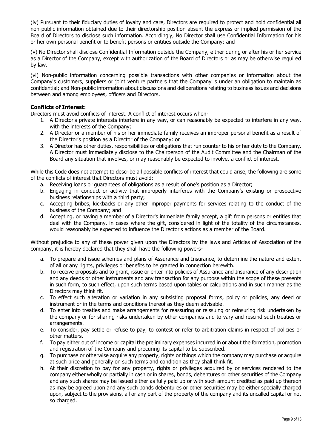(iv) Pursuant to their fiduciary duties of loyalty and care, Directors are required to protect and hold confidential all non-public information obtained due to their directorship position absent the express or implied permission of the Board of Directors to disclose such information. Accordingly, No Director shall use Confidential Information for his or her own personal benefit or to benefit persons or entities outside the Company; and

(v) No Director shall disclose Confidential Information outside the Company, either during or after his or her service as a Director of the Company, except with authorization of the Board of Directors or as may be otherwise required by law.

(vi) Non-public information concerning possible transactions with other companies or information about the Company's customers, suppliers or joint venture partners that the Company is under an obligation to maintain as confidential; and Non-public information about discussions and deliberations relating to business issues and decisions between and among employees, officers and Directors.

# **Conflicts of Interest:**

Directors must avoid conflicts of interest. A conflict of interest occurs when-

- 1. A Director's private interests interfere in any way, or can reasonably be expected to interfere in any way, with the interests of the Company;
- 2. A Director or a member of his or her immediate family receives an improper personal benefit as a result of the Director's position as a Director of the Company: or
- 3. A Director has other duties, responsibilities or obligations that run counter to his or her duty to the Company. A Director must immediately disclose to the Chairperson of the Audit Committee and the Chairman of the Board any situation that involves, or may reasonably be expected to involve, a conflict of interest.

While this Code does not attempt to describe all possible conflicts of interest that could arise, the following are some of the conflicts of interest that Directors must avoid:

- a. Receiving loans or guarantees of obligations as a result of one's position as a Director;
- b. Engaging in conduct or activity that improperly interferes with the Company's existing or prospective business relationships with a third party;
- c. Accepting bribes, kickbacks or any other improper payments for services relating to the conduct of the business of the Company; and
- d. Accepting, or having a member of a Director's immediate family accept, a gift from persons or entities that deal with the Company, in cases where the gift, considered in light of the totality of the circumstances, would reasonably be expected to influence the Director's actions as a member of the Board.

Without prejudice to any of these power given upon the Directors by the laws and Articles of Association of the company, it is hereby declared that they shall have the following powers-

- a. To prepare and issue schemes and plans of Assurance and Insurance, to determine the nature and extent of all or any rights, privileges or benefits to be granted in connection herewith.
- b. To receive proposals and to grant, issue or enter into policies of Assurance and Insurance of any description and any deeds or other instruments and any transaction for any purpose within the scope of these presents in such form, to such effect, upon such terms based upon tables or calculations and in such manner as the Directors may think fit.
- c. To effect such alteration or variation in any subsisting proposal forms, policy or policies, any deed or instrument or in the terms and conditions thereof as they deem advisable.
- d. To enter into treaties and make arrangements for reassuring or reissuing or reinsuring risk undertaken by the company or for sharing risks undertaken by other companies and to vary and rescind such treaties or arrangements.
- e. To consider, pay settle or refuse to pay, to contest or refer to arbitration claims in respect of policies or other matters.
- f. To pay either out of income or capital the preliminary expenses incurred in or about the formation, promotion and registration of the Company and procuring its capital to be subscribed.
- g. To purchase or otherwise acquire any property, rights or things which the company may purchase or acquire at such price and generally on such terms and condition as they shall think fit.
- h. At their discretion to pay for any property, rights or privileges acquired by or services rendered to the company either wholly or partially in cash or in shares, bonds, debentures or other securities of the Company and any such shares may be issued either as fully paid up or with such amount credited as paid up thereon as may be agreed upon and any such bonds debentures or other securities may be either specially charged upon, subject to the provisions, all or any part of the property of the company and its uncalled capital or not so charged.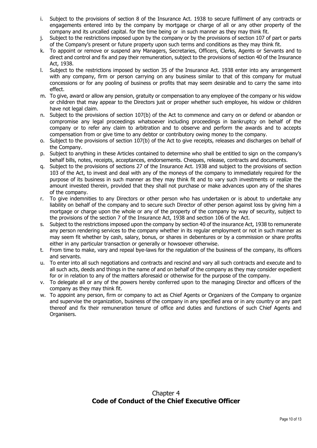- i. Subject to the provisions of section 8 of the Insurance Act. 1938 to secure fulfilment of any contracts or engagements entered into by the company by mortgage or charge of all or any other property of the company and its uncalled capital. for the time being or in such manner as they may think fit.
- j. Subject to the restrictions imposed upon by the company or by the provisions of section 107 of part or parts of the Company's present or future property upon such terms and conditions as they may think fit.
- k. To appoint or remove or suspend any Managers, Secretaries, Officers, Clerks, Agents or Servants and to direct and control and fix and pay their remuneration, subject to the provisions of section 40 of the Insurance Act, 1938.
- l. Subject to the restrictions imposed by section 35 of the Insurance Act. 1938 enter into any arrangement with any company, firm or person carrying on any business similar to that of this company for mutual concessions or for any pooling of business or profits that may seem desirable and to carry the same into effect.
- m. To give, award or allow any pension, gratuity or compensation to any employee of the company or his widow or children that may appear to the Directors just or proper whether such employee, his widow or children have not legal claim.
- n. Subject to the provisions of section 107(b) of the Act to commence and carry on or defend or abandon or compromise any legal proceedings whatsoever including proceedings in bankruptcy on behalf of the company or to refer any claim to arbitration and to observe and perform the awards and to accepts compensation from or give time to any debtor or contributory owing money to the company.
- o. Subject to the provisions of section 107(b) of the Act to give receipts, releases and discharges on behalf of the Company.
- p. Subject to anything in these Articles contained to determine who shall be entitled to sign on the company's behalf bills, notes, receipts, acceptances, endorsements. Cheques, release, contracts and documents.
- q. Subject to the provisions of sections 27 of the Insurance Act. 1938 and subject to the provisions of section 103 of the Act, to invest and deal with any of the moneys of the company to immediately required for the purpose of its business in such manner as they may think fit and to vary such investments or realize the amount invested therein, provided that they shall not purchase or make advances upon any of the shares of the company.
- r. To give indemnities to any Directors or other person who has undertaken or is about to undertake any liability on behalf of the company and to secure such Director of other person against loss by giving him a mortgage or charge upon the whole or any of the property of the company by way of security, subject to the provisions of the section 7 of the Insurance Act, 1938 and section 106 of the Act.
- s. Subject to the restrictions imposed upon the company by section 40 of the insurance Act, 1938 to remunerate any person rendering services to the company whether in its regular employment or not in such manner as may seem fit whether by cash, salary, bonus, or shares in debentures or by a commission or share profits either in any particular transaction or generally or howsoever otherwise.
- t. From time to make, vary and repeal bye-laws for the regulation of the business of the company, its officers and servants.
- u. To enter into all such negotiations and contracts and rescind and vary all such contracts and execute and to all such acts, deeds and things in the name of and on behalf of the company as they may consider expedient for or in relation to any of the matters aforesaid or otherwise for the purpose of the company.
- v. To delegate all or any of the powers hereby conferred upon to the managing Director and officers of the company as they may think fit.
- w. To appoint any person, firm or company to act as Chief Agents or Organizers of the Company to organize and supervise the organization, business of the company in any specified area or in any country or any part thereof and fix their remuneration tenure of office and duties and functions of such Chief Agents and Organisers.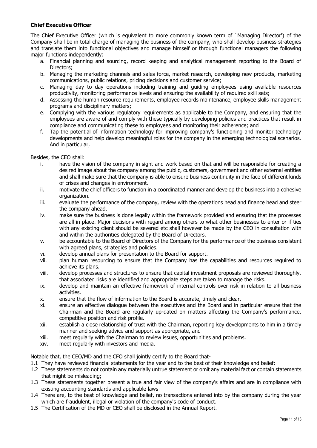# **Chief Executive Officer**

The Chief Executive Officer (which is equivalent to more commonly known term of `Managing Director') of the Company shall be in total charge of managing the business of the company, who shall develop business strategies and translate them into functional objectives and manage himself or through functional managers the following major functions independently:

- a. Financial planning and sourcing, record keeping and analytical management reporting to the Board of Directors;
- b. Managing the marketing channels and sales force, market research, developing new products, marketing communications, public relations, pricing decisions and customer service;
- c. Managing day to day operations including training and guiding employees using available resources productivity, monitoring performance levels and ensuring the availability of required skill sets;
- d. Assessing the human resource requirements, employee records maintenance, employee skills management programs and disciplinary matters;
- e. Complying with the various regulatory requirements as applicable to the Company, and ensuring that the employees are aware of and comply with these typically by developing policies and practices that result in compliance and communicating these to employees and monitoring their adherence; and
- f. Tap the potential of information technology for improving company's functioning and monitor technology developments and help develop meaningful roles for the company in the emerging technological scenarios. And in particular,

Besides, the CEO shall:

- i. have the vision of the company in sight and work based on that and will be responsible for creating a desired image about the company among the public, customers, government and other external entities and shall make sure that the company is able to ensure business continuity in the face of different kinds of crises and changes in environment.
- ii. motivate the chief officers to function in a coordinated manner and develop the business into a cohesive organization.
- iii. evaluate the performance of the company, review with the operations head and finance head and steer the company ahead.
- iv. make sure the business is done legally within the framework provided and ensuring that the processes are all in place. Major decisions with regard among others to what other businesses to enter or if ties with any existing client should be severed etc shall however be made by the CEO in consultation with and within the authorities delegated by the Board of Directors.
- v. be accountable to the Board of Directors of the Company for the performance of the business consistent with agreed plans, strategies and policies.
- vi. develop annual plans for presentation to the Board for support.
- vii. plan human resourcing to ensure that the Company has the capabilities and resources required to achieve its plans.
- viii. develop processes and structures to ensure that capital investment proposals are reviewed thoroughly, that associated risks are identified and appropriate steps are taken to manage the risks.
- ix. develop and maintain an effective framework of internal controls over risk in relation to all business activities.
- x. ensure that the flow of information to the Board is accurate, timely and clear.
- xi. ensure an effective dialogue between the executives and the Board and in particular ensure that the Chairman and the Board are regularly up-dated on matters affecting the Company's performance, competitive position and risk profile.
- xii. establish a close relationship of trust with the Chairman, reporting key developments to him in a timely manner and seeking advice and support as appropriate, and
- xiii. meet regularly with the Chairman to review issues, opportunities and problems.
- xiv. meet regularly with investors and media.

Notable that, the CEO/MD and the CFO shall jointly certify to the Board that-

- 1.1 They have reviewed financial statements for the year and to the best of their knowledge and belief:
- 1.2 These statements do not contain any materially untrue statement or omit any material fact or contain statements that might be misleading;
- 1.3 These statements together present a true and fair view of the company's affairs and are in compliance with existing accounting standards and applicable laws
- 1.4 There are, to the best of knowledge and belief, no transactions entered into by the company during the year which are fraudulent, illegal or violation of the company's code of conduct.
- 1.5 The Certification of the MD or CEO shall be disclosed in the Annual Report.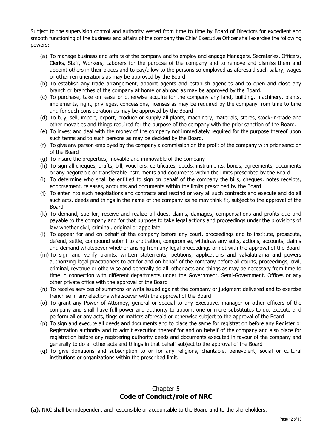Subject to the supervision control and authority vested from time to time by Board of Directors for expedient and smooth functioning of the business and affairs of the company the Chief Executive Officer shall exercise the following powers:

- (a) To manage business and affairs of the company and to employ and engage Managers, Secretaries, Officers, Clerks, Staff, Workers, Laborers for the purpose of the company and to remove and dismiss them and appoint others in their places and to pay/allow to the persons so employed as aforesaid such salary, wages or other remunerations as may be approved by the Board
- (b) To establish any trade arrangement, appoint agents and establish agencies and to open and close any branch or branches of the company at home or abroad as may be approved by the Board.
- (c) To purchase, take on lease or otherwise acquire for the company any land, building, machinery, plants, implements, right, privileges, concessions, licenses as may be required by the company from time to time and for such consideration as may be approved by the Board
- (d) To buy, sell, import, export, produce or supply all plants, machinery, materials, stores, stock-in-trade and other movables and things required for the purpose of the company with the prior sanction of the Board.
- (e) To invest and deal with the money of the company not immediately required for the purpose thereof upon such terms and to such persons as may be decided by the Board.
- (f) To give any person employed by the company a commission on the profit of the company with prior sanction of the Board
- (g) To insure the properties, movable and immovable of the company
- (h) To sign all cheques, drafts, bill, vouchers, certificates, deeds, instruments, bonds, agreements, documents or any negotiable or transferable instruments and documents within the limits prescribed by the Board.
- (i) To determine who shall be entitled to sign on behalf of the company the bills, cheques, notes receipts, endorsement, releases, accounts and documents within the limits prescribed by the Board
- (j) To enter into such negotiations and contracts and rescind or vary all such contracts and execute and do all such acts, deeds and things in the name of the company as he may think fit, subject to the approval of the Board
- (k) To demand, sue for, receive and realize all dues, claims, damages, compensations and profits due and payable to the company and for that purpose to take legal actions and proceedings under the provisions of law whether civil, criminal, original or appellate
- (l) To appear for and on behalf of the company before any court, proceedings and to institute, prosecute, defend, settle, compound submit to arbitration, compromise, withdraw any suits, actions, accounts, claims and demand whatsoever whether arising from any legal proceedings or not with the approval of the Board
- (m) To sign and verify plaints, written statements, petitions, applications and vakalatnama and powers authorizing legal practitioners to act for and on behalf of the company before all courts, proceedings, civil, criminal, revenue or otherwise and generally do all other acts and things as may be necessary from time to time in connection with different departments under the Government, Semi-Government, Offices or any other private office with the approval of the Board
- (n) To receive services of summons or writs issued against the company or judgment delivered and to exercise franchise in any elections whatsoever with the approval of the Board
- (o) To grant any Power of Attorney, general or special to any Executive, manager or other officers of the company and shall have full power and authority to appoint one or more substitutes to do, execute and perform all or any acts, tings or matters aforesaid or otherwise subject to the approval of the Board
- (p) To sign and execute all deeds and documents and to place the same for registration before any Register or Registration authority and to admit execution thereof for and on behalf of the company and also place for registration before any registering authority deeds and documents executed in favour of the company and generally to do all other acts and things in that behalf subject to the approval of the Board
- (q) To give donations and subscription to or for any religions, charitable, benevolent, social or cultural institutions or organizations within the prescribed limit.

# Chapter 5 **Code of Conduct/role of NRC**

**(a).** NRC shall be independent and responsible or accountable to the Board and to the shareholders;